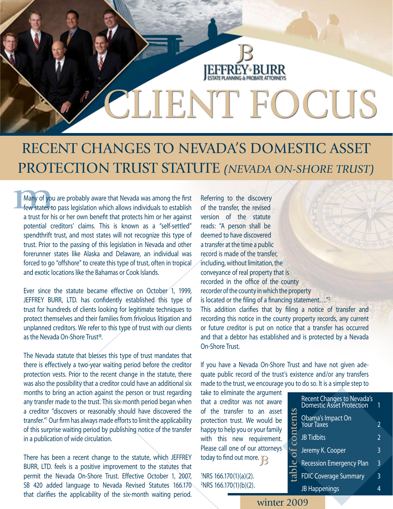## Recent changes to Nevada's Domestic Asset Protection Trust Statute *(Nevada On-Shore Trust)*

**EFFREY BURR** 

SLIENT FOCUS

Many of you<br>
few states to<br>
a trust for hi Many of you are probably aware that Nevada was among the first few states to pass legislation which allows individuals to establish a trust for his or her own benefit that protects him or her against potential creditors' claims. This is known as a "self-settled" spendthrift trust, and most states will not recognize this type of trust. Prior to the passing of this legislation in Nevada and other forerunner states like Alaska and Delaware, an individual was forced to go "offshore" to create this type of trust, often in tropical and exotic locations like the Bahamas or Cook Islands.

Ever since the statute became effective on October 1, 1999, JEFFREY BURR, LTD. has confidently established this type of trust for hundreds of clients looking for legitimate techniques to protect themselves and their families from frivolous litigation and unplanned creditors. We refer to this type of trust with our clients as the Nevada On-Shore Trust®.

The Nevada statute that blesses this type of trust mandates that there is effectively a two-year waiting period before the creditor protection vests. Prior to the recent change in the statute, there was also the possibility that a creditor could have an additional six months to bring an action against the person or trust regarding any transfer made to the trust. This six-month period began when a creditor "discovers or reasonably should have discovered the transfer."1 Our firm has always made efforts to limit the applicability of this surprise waiting period by publishing notice of the transfer in a publication of wide circulation.

There has been a recent change to the statute, which JEFFREY BURR, LTD. feels is a positive improvement to the statutes that permit the Nevada On-Shore Trust. Effective October 1, 2007, SB 420 added language to Nevada Revised Statutes 166.170 that clarifies the applicability of the six-month waiting period. Referring to the discovery of the transfer, the revised version of the statute reads: "A person shall be deemed to have discovered a transfer at the time a public record is made of the transfer, including, without limitation, the conveyance of real property that is recorded in the office of the county recorder of the county in which the property is located or the filing of a financing statement…."2 This addition clarifies that by filing a notice of transfer and recording this notice in the county property records, any current or future creditor is put on notice that a transfer has occurred and that a debtor has established and is protected by a Nevada On-Shore Trust.

If you have a Nevada On-Shore Trust and have not given adequate public record of the trust's existence and/or any transfers made to the trust, we encourage you to do so. It is a simple step to

take to eliminate the argument that a creditor was not aware of the transfer to an asset protection trust. We would be happy to help you or your family with this new requirement. Please call one of our attorneys today to find out more.  $\mathbb{R}$ 

1 NRS 166.170(1)(a)(2). 2 NRS 166.170(1)(b)(2).

|          | Recent Changes to Nevada's<br>Domestic Asset Protection |                |
|----------|---------------------------------------------------------|----------------|
| contents | Obama's Impact On<br>Your Taxes                         | 2              |
|          | <b>JB Tidbits</b>                                       | $\overline{2}$ |
| ЪÓ       | Jeremy K. Cooper                                        | 3              |
|          | <b>Recession Emergency Plan</b>                         | 3              |
| table    | <b>FDIC Coverage Summary</b>                            | 3              |
|          | <b>JB</b> Happenings                                    |                |

winter 2009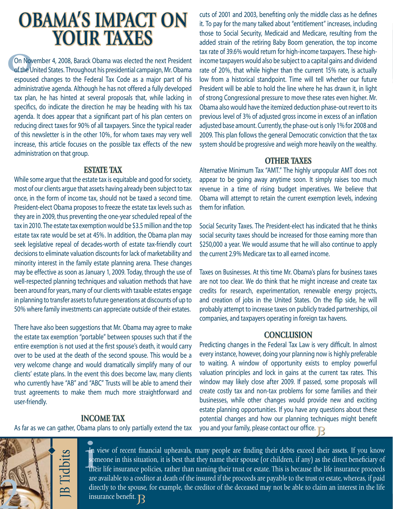## **OBAMA'S IMPACT ON YOUR TAXES**

On Nov<br>of the U<br>espouse On November 4, 2008, Barack Obama was elected the next President of the United States. Throughout his presidential campaign, Mr. Obama espoused changes to the Federal Tax Code as a major part of his administrative agenda. Although he has not offered a fully developed tax plan, he has hinted at several proposals that, while lacking in specifics, do indicate the direction he may be heading with his tax agenda. It does appear that a significant part of his plan centers on reducing direct taxes for 90% of all taxpayers. Since the typical reader of this newsletter is in the other 10%, for whom taxes may very well increase, this article focuses on the possible tax effects of the new administration on that group.

#### **ESTATE TAX**

While some argue that the estate tax is equitable and good for society, most of our clients argue that assets having already been subject to tax once, in the form of income tax, should not be taxed a second time. President-elect Obama proposes to freeze the estate tax levels such as they are in 2009, thus preventing the one-year scheduled repeal of the tax in 2010. The estate tax exemption would be \$3.5 million and the top estate tax rate would be set at 45%. In addition, the Obama plan may seek legislative repeal of decades-worth of estate tax-friendly court decisions to eliminate valuation discounts for lack of marketability and minority interest in the family estate planning arena. These changes may be effective as soon as January 1, 2009. Today, through the use of well-respected planning techniques and valuation methods that have been around for years, many of our clients with taxable estates engage in planning to transfer assets to future generations at discounts of up to 50% where family investments can appreciate outside of their estates.

There have also been suggestions that Mr. Obama may agree to make the estate tax exemption "portable" between spouses such that if the entire exemption is not used at the first spouse's death, it would carry over to be used at the death of the second spouse. This would be a very welcome change and would dramatically simplify many of our clients' estate plans. In the event this does become law, many clients who currently have "AB" and "ABC" Trusts will be able to amend their trust agreements to make them much more straightforward and user-friendly.

### **INCOME TAX**

As far as we can gather, Obama plans to only partially extend the tax

cuts of 2001 and 2003, benefiting only the middle class as he defines it. To pay for the many talked about "entitlement" increases, including those to Social Security, Medicaid and Medicare, resulting from the added strain of the retiring Baby Boom generation, the top income tax rate of 39.6% would return for high-income taxpayers. These highincome taxpayers would also be subject to a capital gains and dividend rate of 20%, that while higher than the current 15% rate, is actually low from a historical standpoint. Time will tell whether our future President will be able to hold the line where he has drawn it, in light of strong Congressional pressure to move these rates even higher. Mr. Obama also would have the itemized deduction phase-out revert to its previous level of 3% of adjusted gross income in excess of an inflation adjusted base amount. Currently, the phase-out is only 1% for 2008 and 2009. This plan follows the general Democratic conviction that the tax system should be progressive and weigh more heavily on the wealthy.

#### **OTHER TAXES**

Alternative Minimum Tax "AMT." The highly unpopular AMT does not appear to be going away anytime soon. It simply raises too much revenue in a time of rising budget imperatives. We believe that Obama will attempt to retain the current exemption levels, indexing them for inflation.

Social Security Taxes. The President-elect has indicated that he thinks social security taxes should be increased for those earning more than \$250,000 a year. We would assume that he will also continue to apply the current 2.9% Medicare tax to all earned income.

Taxes on Businesses. At this time Mr. Obama's plans for business taxes are not too clear. We do think that he might increase and create tax credits for research, experimentation, renewable energy projects, and creation of jobs in the United States. On the flip side, he will probably attempt to increase taxes on publicly traded partnerships, oil companies, and taxpayers operating in foreign tax havens.

#### **CONCLUSION**

Predicting changes in the Federal Tax Law is very difficult. In almost every instance, however, doing your planning now is highly preferable to waiting. A window of opportunity exists to employ powerful valuation principles and lock in gains at the current tax rates. This window may likely close after 2009. If passed, some proposals will create costly tax and non-tax problems for some families and their businesses, while other changes would provide new and exciting estate planning opportunities. If you have any questions about these potential changes and how our planning techniques might benefit you and your family, please contact our office.



**i**<br> **i** son<br>
the In view of recent financial upheavals, many people are finding their debts exceed their assets. If you know someone in this situation, it is best that they name their spouse (or children, if any) as the direct beneficiary of their life insurance policies, rather than naming their trust or estate. This is because the life insurance proceeds are available to a creditor at death of the insured if the proceeds are payable to the trust or estate, whereas, if paid directly to the spouse, for example, the creditor of the deceased may not be able to claim an interest in the life insurance benefit.  $\mathbf R$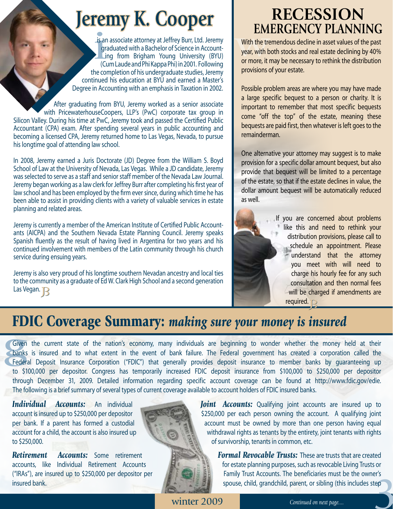# **Jeremy K. Cooper**

le de la ser<br>de la ser<br>de la ser<br>de la ser<br>de la ser<br>de la ser<br>de la ser<br>de la ser<br>de la ser<br>de la ser<br>de la ser<br>de la ser<br>de la ser<br>de la ser<br>de la ser<br>de la ser<br>de la ser<br>de la ser<br>de la ser<br>de la ser<br>de la ser<br>de la ser is an associate attorney at Jeffrey Burr, Ltd. Jeremy graduated with a Bachelor of Science in Account-Ling from Brigham Young University (BYU) (Cum Laude and Phi Kappa Phi) in 2001. Following the completion of his undergraduate studies, Jeremy continued his education at BYU and earned a Master's Degree in Accounting with an emphasis in Taxation in 2002.

After graduating from BYU, Jeremy worked as a senior associate with PricewaterhouseCoopers, LLP's (PwC) corporate tax group in Silicon Valley. During his time at PwC, Jeremy took and passed the Certified Public Accountant (CPA) exam. After spending several years in public accounting and becoming a licensed CPA, Jeremy returned home to Las Vegas, Nevada, to pursue his longtime goal of attending law school.

In 2008, Jeremy earned a Juris Doctorate (JD) Degree from the William S. Boyd School of Law at the University of Nevada, Las Vegas. While a JD candidate, Jeremy was selected to serve as a staff and senior staff member of the Nevada Law Journal. Jeremy began working as a law clerk for Jeffrey Burr after completing his first year of law school and has been employed by the firm ever since, during which time he has been able to assist in providing clients with a variety of valuable services in estate planning and related areas.

Jeremy is currently a member of the American Institute of Certified Public Accountants (AICPA) and the Southern Nevada Estate Planning Council. Jeremy speaks Spanish fluently as the result of having lived in Argentina for two years and his continued involvement with members of the Latin community through his church service during ensuing years.

Jeremy is also very proud of his longtime southern Nevadan ancestry and local ties to the community as a graduate of Ed W. Clark High School and a second generation Las Vegan. <sub>B</sub>

## **RECESSION EMERGENCY PLANNING**

**EM**<br>With the tre<br>year, with b<br>or more, it i With the tremendous decline in asset values of the past year, with both stocks and real estate declining by 40% or more, it may be necessary to rethink the distribution provisions of your estate.

Possible problem areas are where you may have made a large specific bequest to a person or charity. It is important to remember that most specific bequests come "off the top" of the estate, meaning these bequests are paid first, then whatever is left goes to the remainderman.

One alternative your attorney may suggest is to make provision for a specific dollar amount bequest, but also provide that bequest will be limited to a percentage of the estate, so that if the estate declines in value, the dollar amount bequest will be automatically reduced as well.



If you are concerned about problems like this and need to rethink your distribution provisions, please call to schedule an appointment. Please understand that the attorney you meet with will need to charge his hourly fee for any such consultation and then normal fees will be charged if amendments are required.

**FDIC Coverage Summary:** *making sure your money is insured*<br>Given the current state of the nation's economy, many individuals are beginning to wonder whether the money hanks is insured and to what extent in the event of b Given the current state of the nation's economy, many individuals are beginning to wonder whether the money held at their banks is insured and to what extent in the event of bank failure. The Federal government has created a corporation called the Federal Deposit Insurance Corporation ("FDIC") that generally provides deposit insurance to member banks by guaranteeing up to \$100,000 per depositor. Congress has temporarily increased FDIC deposit insurance from \$100,000 to \$250,000 per depositor through December 31, 2009. Detailed information regarding specific account coverage can be found at http://www.fdic.gov/edie. The following is a brief summary of several types of current coverage available to account holders of FDIC insured banks.

*Individual Accounts:* An individual account is insured up to \$250,000 per depositor per bank. If a parent has formed a custodial account for a child, the account is also insured up to \$250,000.

*Retirement Accounts:* Some retirement accounts, like Individual Retirement Accounts ("IRAs"), are insured up to \$250,000 per depositor per insured bank.



*Joint Accounts:* Qualifying joint accounts are insured up to \$250,000 per each person owning the account. A qualifying joint account must be owned by more than one person having equal withdrawal rights as tenants by the entirety, joint tenants with rights of survivorship, tenants in common, etc.



spouse, child, grandchild, parent, or sibling (this includes step<br>Continued on next page.... *Formal Revocable Trusts:* These are trusts that are created for estate planning purposes, such as revocable Living Trusts or Family Trust Accounts. The beneficiaries must be the owner's

winter 2009